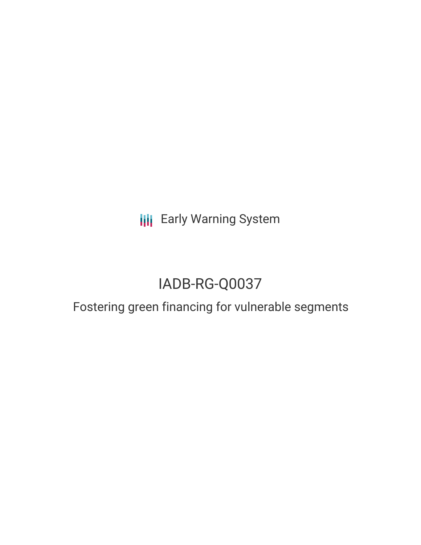**III** Early Warning System

# IADB-RG-Q0037

## Fostering green financing for vulnerable segments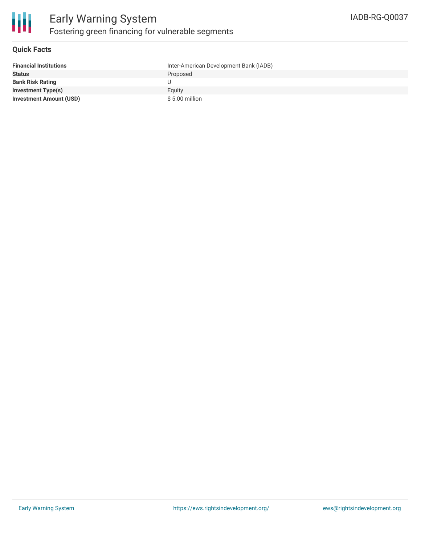

#### **Quick Facts**

| <b>Financial Institutions</b>  | Inter-American Development Bank (IADB) |
|--------------------------------|----------------------------------------|
| <b>Status</b>                  | Proposed                               |
| <b>Bank Risk Rating</b>        |                                        |
| <b>Investment Type(s)</b>      | Equity                                 |
| <b>Investment Amount (USD)</b> | $$5.00$ million                        |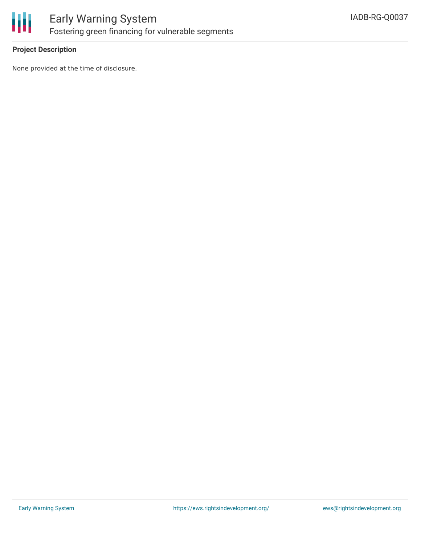

#### **Project Description**

None provided at the time of disclosure.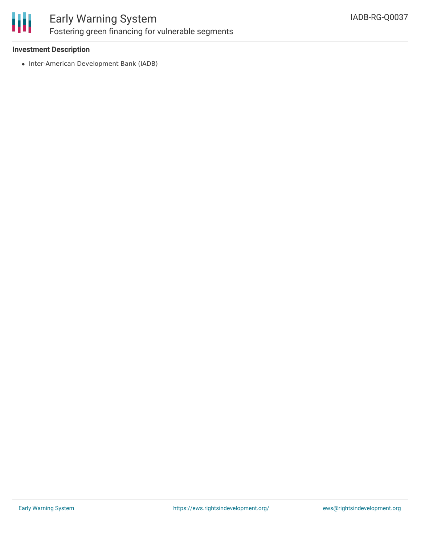

### Early Warning System Fostering green financing for vulnerable segments

#### **Investment Description**

• Inter-American Development Bank (IADB)